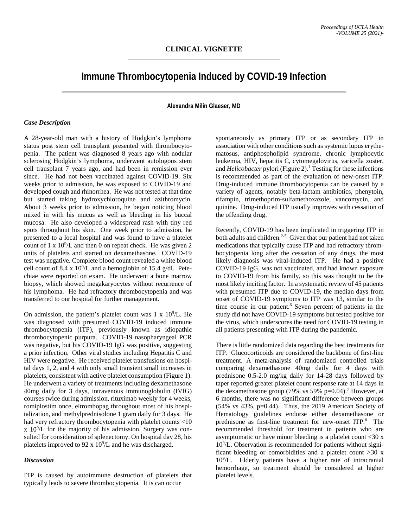# **Immune Thrombocytopenia Induced by COVID-19 Infection**

## **Alexandra Milin Glaeser, MD**

### *Case Description*

A 28-year-old man with a history of Hodgkin's lymphoma status post stem cell transplant presented with thrombocytopenia. The patient was diagnosed 8 years ago with nodular sclerosing Hodgkin's lymphoma, underwent autologous stem cell transplant 7 years ago, and had been in remission ever since. He had not been vaccinated against COVID-19. Six weeks prior to admission, he was exposed to COVID-19 and developed cough and rhinorrhea. He was not tested at that time but started taking hydroxychloroquine and azithromycin. About 3 weeks prior to admission, he began noticing blood mixed in with his mucus as well as bleeding in his buccal mucosa. He also developed a widespread rash with tiny red spots throughout his skin. One week prior to admission, he presented to a local hospital and was found to have a platelet count of  $1 \times 10^9$ /L and then 0 on repeat check. He was given 2 units of platelets and started on dexamethasone. COVID-19 test was negative. Complete blood count revealed a white blood cell count of 8.4 x  $10^9$ /L and a hemoglobin of 15.4 g/dl. Petechiae were reported on exam. He underwent a bone marrow biopsy, which showed megakaryocytes without recurrence of his lymphoma. He had refractory thrombocytopenia and was transferred to our hospital for further management.

On admission, the patient's platelet count was  $1 \times 10^9$ /L. He was diagnosed with presumed COVID-19 induced immune thrombocytopenia (ITP), previously known as idiopathic thrombocytopenic purpura. COVID-19 nasopharyngeal PCR was negative, but his COVID-19 IgG was positive, suggesting a prior infection. Other viral studies including Hepatitis C and HIV were negative. He received platelet transfusions on hospital days 1, 2, and 4 with only small transient small increases in platelets, consistent with active platelet consumption (Figure 1). He underwent a variety of treatments including dexamethasone 40mg daily for 3 days, intravenous immunoglobulin (IVIG) courses twice during admission, rituximab weekly for 4 weeks, romiplostim once, eltrombopag throughout most of his hospitalization, and methylprednisolone 1 gram daily for 3 days. He had very refractory thrombocytopenia with platelet counts <10  $x$  10 $^9$ /L for the majority of his admission. Surgery was consulted for consideration of splenectomy. On hospital day 28, his platelets improved to 92 x  $10^9$ /L and he was discharged.

## *Discussion*

ITP is caused by autoimmune destruction of platelets that typically leads to severe thrombocytopenia. It is can occur

spontaneously as primary ITP or as secondary ITP in association with other conditions such as systemic lupus erythematosus, antiphospholipid syndrome, chronic lymphocytic leukemia, HIV, hepatitis C, cytomegalovirus, varicella zoster, and *Helicobacter* pylori (Figure 2).<sup>1</sup> Testing for these infections is recommended as part of the evaluation of new-onset ITP. Drug-induced immune thrombocytopenia can be caused by a variety of agents, notably beta-lactam antibiotics, phenytoin, rifampin, trimethoprim-sulfamethoxazole, vancomycin, and quinine. Drug-induced ITP usually improves with cessation of the offending drug.

Recently, COVID-19 has been implicated in triggering ITP in both adults and children. $2-5$  Given that our patient had not taken medications that typically cause ITP and had refractory thrombocytopenia long after the cessation of any drugs, the most likely diagnosis was viral-induced ITP. He had a positive COVID-19 IgG, was not vaccinated, and had known exposure to COVID-19 from his family, so this was thought to be the most likely inciting factor. In a systematic review of 45 patients with presumed ITP due to COVID-19, the median days from onset of COVID-19 symptoms to ITP was 13, similar to the time course in our patient.<sup>6</sup> Seven percent of patients in the study did not have COVID-19 symptoms but tested positive for the virus, which underscores the need for COVID-19 testing in all patients presenting with ITP during the pandemic.

There is little randomized data regarding the best treatments for ITP. Glucocorticoids are considered the backbone of first-line treatment. A meta-analysis of randomized controlled trials comparing dexamethasone 40mg daily for 4 days with prednisone 0.5-2.0 mg/kg daily for 14-28 days followed by taper reported greater platelet count response rate at 14 days in the dexamethasone group (79% vs 59% p= $0.04$ ).<sup>7</sup> However, at 6 months, there was no significant difference between groups  $(54\% \text{ vs } 43\%, \text{ p} = 0.44)$ . Thus, the 2019 American Society of Hematology guidelines endorse either dexamethasone or prednisone as first-line treatment for new-onset ITP.<sup>8</sup> The recommended threshold for treatment in patients who are asymptomatic or have minor bleeding is a platelet count  $\langle 30 \times 30 \rangle$ 109 /L. Observation is recommended for patients without significant bleeding or comorbidities and a platelet count  $>30$  x 109 /L. Elderly patients have a higher rate of intracranial hemorrhage, so treatment should be considered at higher platelet levels.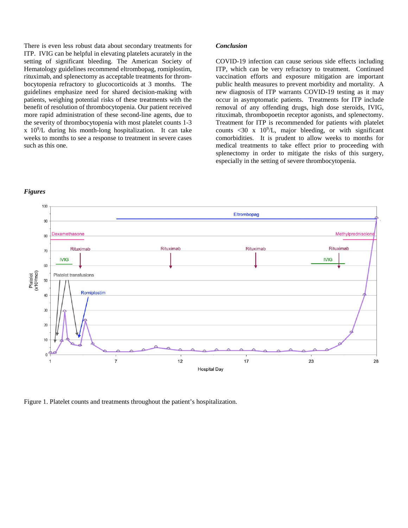There is even less robust data about secondary treatments for ITP. IVIG can be helpful in elevating platelets acurately in the setting of significant bleeding. The American Society of Hematology guidelines recommend eltrombopag, romiplostim, rituximab, and splenectomy as acceptable treatments for thrombocytopenia refractory to glucocorticoids at 3 months. The guidelines emphasize need for shared decision-making with patients, weighing potential risks of these treatments with the benefit of resolution of thrombocytopenia. Our patient received more rapid administration of these second-line agents, due to the severity of thrombocytopenia with most platelet counts 1-3 x 109 /L during his month-long hospitalization. It can take weeks to months to see a response to treatment in severe cases such as this one.

#### *Conclusion*

COVID-19 infection can cause serious side effects including ITP, which can be very refractory to treatment. Continued vaccination efforts and exposure mitigation are important public health measures to prevent morbidity and mortality. A new diagnosis of ITP warrants COVID-19 testing as it may occur in asymptomatic patients. Treatments for ITP include removal of any offending drugs, high dose steroids, IVIG, rituximab, thrombopoetin receptor agonists, and splenectomy. Treatment for ITP is recommended for patients with platelet counts  $\langle 30 \times 10^9 / L$ , major bleeding, or with significant comorbidities. It is prudent to allow weeks to months for medical treatments to take effect prior to proceeding with splenectomy in order to mitigate the risks of this surgery, especially in the setting of severe thrombocytopenia.

### *Figures*



Figure 1. Platelet counts and treatments throughout the patient's hospitalization.